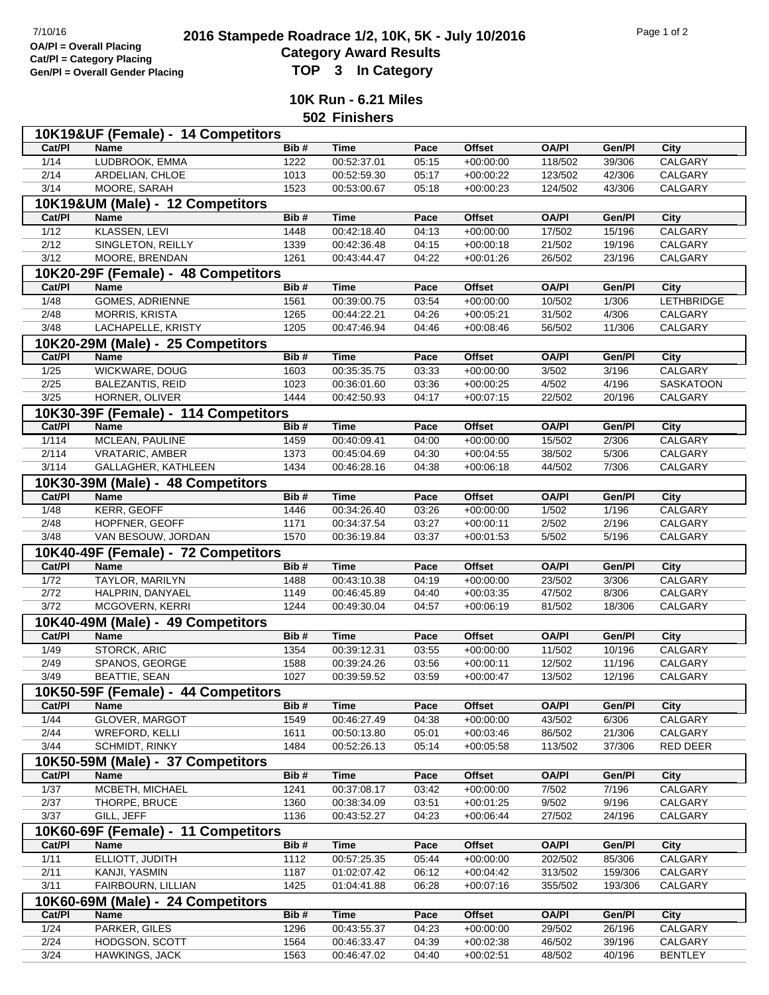## <sup>7/10/16</sup><br> **2016 Stampede Roadrace 1/2, 10K, 5K - July 10/2016** Page 1 of 2<br> **Cotogory Award Booute Category Award Results Gen/Pl = Overall Gender Placing TOP 3 In Category**

**10K Run - 6.21 Miles**

**502 Finishers**

|                                  | 10K19&UF (Female) - 14 Competitors   |      |             |       |               |              |         |                   |  |  |  |
|----------------------------------|--------------------------------------|------|-------------|-------|---------------|--------------|---------|-------------------|--|--|--|
| Cat/PI                           | <b>Name</b>                          | Bib# | <b>Time</b> | Pace  | <b>Offset</b> | <b>OA/PI</b> | Gen/Pl  | City              |  |  |  |
| 1/14                             | LUDBROOK, EMMA                       | 1222 | 00:52:37.01 | 05:15 | $+00:00:00$   | 118/502      | 39/306  | CALGARY           |  |  |  |
| 2/14                             | ARDELIAN, CHLOE                      | 1013 | 00:52:59.30 | 05:17 | $+00:00:22$   | 123/502      | 42/306  | CALGARY           |  |  |  |
| 3/14                             | MOORE, SARAH                         | 1523 | 00:53:00.67 | 05:18 | $+00:00:23$   | 124/502      | 43/306  | CALGARY           |  |  |  |
| 10K19&UM (Male) - 12 Competitors |                                      |      |             |       |               |              |         |                   |  |  |  |
| Cat/PI                           | <b>Name</b>                          | Bib# | <b>Time</b> | Pace  | <b>Offset</b> | <b>OA/PI</b> | Gen/Pl  | City              |  |  |  |
| 1/12                             | <b>KLASSEN, LEVI</b>                 | 1448 | 00:42:18.40 | 04:13 | $+00:00:00$   | 17/502       | 15/196  | CALGARY           |  |  |  |
| 2/12                             | SINGLETON, REILLY                    | 1339 | 00:42:36.48 | 04:15 | $+00:00:18$   | 21/502       | 19/196  | CALGARY           |  |  |  |
| 3/12                             | MOORE, BRENDAN                       | 1261 | 00:43:44.47 | 04:22 | $+00:01:26$   | 26/502       | 23/196  | CALGARY           |  |  |  |
|                                  | 10K20-29F (Female) - 48 Competitors  |      |             |       |               |              |         |                   |  |  |  |
| Cat/PI                           | Name                                 | Bib# | <b>Time</b> | Pace  | <b>Offset</b> | <b>OA/PI</b> | Gen/Pl  | City              |  |  |  |
| 1/48                             | <b>GOMES, ADRIENNE</b>               | 1561 | 00:39:00.75 | 03:54 | $+00:00:00$   | 10/502       | 1/306   | <b>LETHBRIDGE</b> |  |  |  |
| 2/48                             | <b>MORRIS, KRISTA</b>                | 1265 | 00:44:22.21 | 04:26 | $+00:05:21$   | 31/502       | 4/306   | <b>CALGARY</b>    |  |  |  |
| $\frac{3}{48}$                   | LACHAPELLE, KRISTY                   | 1205 | 00:47:46.94 | 04:46 | $+00:08:46$   | 56/502       | 11/306  | CALGARY           |  |  |  |
|                                  | 10K20-29M (Male) - 25 Competitors    |      |             |       |               |              |         |                   |  |  |  |
| Cat/PI                           | <b>Name</b>                          | Bib# | <b>Time</b> | Pace  | <b>Offset</b> | <b>OA/PI</b> | Gen/Pl  | City              |  |  |  |
| $\frac{1}{25}$                   | WICKWARE, DOUG                       | 1603 | 00:35:35.75 | 03:33 | $+00:00:00$   | 3/502        | 3/196   | CALGARY           |  |  |  |
| 2/25                             | <b>BALEZANTIS, REID</b>              | 1023 | 00:36:01.60 | 03:36 | $+00:00:25$   | 4/502        | 4/196   | <b>SASKATOON</b>  |  |  |  |
| 3/25                             | HORNER, OLIVER                       | 1444 | 00:42:50.93 | 04:17 | $+00:07:15$   | 22/502       | 20/196  | CALGARY           |  |  |  |
|                                  |                                      |      |             |       |               |              |         |                   |  |  |  |
|                                  | 10K30-39F (Female) - 114 Competitors |      |             |       |               |              |         |                   |  |  |  |
| Cat/PI                           | <b>Name</b>                          | Bib# | <b>Time</b> | Pace  | <b>Offset</b> | <b>OA/PI</b> | Gen/Pl  | <b>City</b>       |  |  |  |
| 1/114                            | MCLEAN, PAULINE                      | 1459 | 00:40:09.41 | 04:00 | $+00:00:00$   | 15/502       | 2/306   | CALGARY           |  |  |  |
| 2/114                            | VRATARIC, AMBER                      | 1373 | 00:45:04.69 | 04:30 | $+00:04:55$   | 38/502       | 5/306   | CALGARY           |  |  |  |
| 3/114                            | GALLAGHER, KATHLEEN                  | 1434 | 00:46:28.16 | 04:38 | $+00:06:18$   | 44/502       | 7/306   | CALGARY           |  |  |  |
|                                  | 10K30-39M (Male) - 48 Competitors    |      |             |       |               |              |         |                   |  |  |  |
| Cat/PI                           | <b>Name</b>                          | Bib# | <b>Time</b> | Pace  | <b>Offset</b> | <b>OA/PI</b> | Gen/PI  | <b>City</b>       |  |  |  |
| 1/48                             | <b>KERR, GEOFF</b>                   | 1446 | 00:34:26.40 | 03:26 | $+00:00:00$   | 1/502        | 1/196   | CALGARY           |  |  |  |
| 2/48                             | HOPFNER, GEOFF                       | 1171 | 00:34:37.54 | 03:27 | $+00:00:11$   | 2/502        | 2/196   | CALGARY           |  |  |  |
| 3/48                             | VAN BESOUW, JORDAN                   | 1570 | 00:36:19.84 | 03:37 | $+00:01:53$   | 5/502        | 5/196   | CALGARY           |  |  |  |
|                                  | 10K40-49F (Female) - 72 Competitors  |      |             |       |               |              |         |                   |  |  |  |
| Cat/PI                           | <b>Name</b>                          | Bib# | <b>Time</b> | Pace  | <b>Offset</b> | <b>OA/PI</b> | Gen/Pl  | <b>City</b>       |  |  |  |
| 1/72                             | <b>TAYLOR, MARILYN</b>               | 1488 | 00:43:10.38 | 04:19 | $+00:00:00$   | 23/502       | 3/306   | CALGARY           |  |  |  |
| 2/72                             | HALPRIN, DANYAEL                     | 1149 | 00:46:45.89 | 04:40 | $+00:03:35$   | 47/502       | 8/306   | CALGARY           |  |  |  |
| 3/72                             | MCGOVERN, KERRI                      | 1244 | 00:49:30.04 | 04:57 | $+00:06:19$   | 81/502       | 18/306  | CALGARY           |  |  |  |
|                                  | 10K40-49M (Male) - 49 Competitors    |      |             |       |               |              |         |                   |  |  |  |
| Cat/PI                           | Name                                 | Bib# | <b>Time</b> | Pace  | <b>Offset</b> | <b>OA/PI</b> | Gen/Pl  | <b>City</b>       |  |  |  |
| 1/49                             | <b>STORCK, ARIC</b>                  | 1354 | 00:39:12.31 | 03:55 | $+00:00:00$   | 11/502       | 10/196  | CALGARY           |  |  |  |
| 2/49                             | SPANOS, GEORGE                       | 1588 | 00:39:24.26 | 03:56 | $+00:00:11$   | 12/502       | 11/196  | CALGARY           |  |  |  |
| 3/49                             | <b>BEATTIE, SEAN</b>                 | 1027 | 00:39:59.52 | 03:59 | $+00:00:47$   | 13/502       | 12/196  | CALGARY           |  |  |  |
|                                  | 10K50-59F (Female) - 44 Competitors  |      |             |       |               |              |         |                   |  |  |  |
| Cat/PI                           | Name                                 | Bib# | <b>Time</b> | Pace  | Offset        | <b>OA/PI</b> | Gen/Pl  | City              |  |  |  |
| 1/44                             | <b>GLOVER, MARGOT</b>                | 1549 | 00:46:27.49 | 04:38 | $+00:00:00$   | 43/502       | 6/306   | CALGARY           |  |  |  |
| 2/44                             | WREFORD, KELLI                       | 1611 | 00:50:13.80 | 05:01 | $+00:03:46$   | 86/502       | 21/306  | CALGARY           |  |  |  |
| 3/44                             | <b>SCHMIDT, RINKY</b>                | 1484 | 00:52:26.13 | 05:14 | $+00:05:58$   | 113/502      | 37/306  | RED DEER          |  |  |  |
|                                  | 10K50-59M (Male) - 37 Competitors    |      |             |       |               |              |         |                   |  |  |  |
| Cat/PI                           | Name                                 | Bib# | <b>Time</b> | Pace  | <b>Offset</b> | <b>OA/PI</b> | Gen/Pl  | City              |  |  |  |
| $\frac{1}{37}$                   | MCBETH, MICHAEL                      | 1241 | 00:37:08.17 | 03:42 | $+00:00:00$   | 7/502        | 7/196   | CALGARY           |  |  |  |
| 2/37                             | THORPE, BRUCE                        | 1360 | 00:38:34.09 | 03:51 | $+00:01:25$   | 9/502        | 9/196   | CALGARY           |  |  |  |
| 3/37                             | GILL, JEFF                           | 1136 | 00:43:52.27 | 04:23 | $+00:06:44$   | 27/502       | 24/196  | CALGARY           |  |  |  |
|                                  | 10K60-69F (Female) - 11 Competitors  |      |             |       |               |              |         |                   |  |  |  |
| Cat/PI                           | Name                                 | Bib# | <b>Time</b> | Pace  | <b>Offset</b> | <b>OA/PI</b> | Gen/Pl  | City              |  |  |  |
| 1/11                             | ELLIOTT, JUDITH                      | 1112 | 00:57:25.35 | 05:44 | $+00:00:00$   | 202/502      | 85/306  | CALGARY           |  |  |  |
| 2/11                             | KANJI, YASMIN                        | 1187 | 01:02:07.42 | 06:12 | $+00:04:42$   | 313/502      | 159/306 | CALGARY           |  |  |  |
| 3/11                             | FAIRBOURN, LILLIAN                   | 1425 | 01:04:41.88 | 06:28 | $+00:07:16$   | 355/502      | 193/306 | CALGARY           |  |  |  |
|                                  | 10K60-69M (Male) - 24 Competitors    |      |             |       |               |              |         |                   |  |  |  |
| Cat/PI                           | Name                                 | Bib# | <b>Time</b> | Pace  | <b>Offset</b> | <b>OA/PI</b> | Gen/Pl  | City              |  |  |  |
| 1/24                             | PARKER, GILES                        | 1296 | 00:43:55.37 | 04:23 | $+00:00:00$   | 29/502       | 26/196  | <b>CALGARY</b>    |  |  |  |
| 2/24                             | HODGSON, SCOTT                       | 1564 | 00:46:33.47 | 04:39 | $+00:02:38$   | 46/502       | 39/196  | CALGARY           |  |  |  |
|                                  |                                      |      |             |       |               | 48/502       |         | <b>BENTLEY</b>    |  |  |  |
| 3/24                             | HAWKINGS, JACK                       | 1563 | 00:46:47.02 | 04:40 | $+00:02:51$   |              | 40/196  |                   |  |  |  |